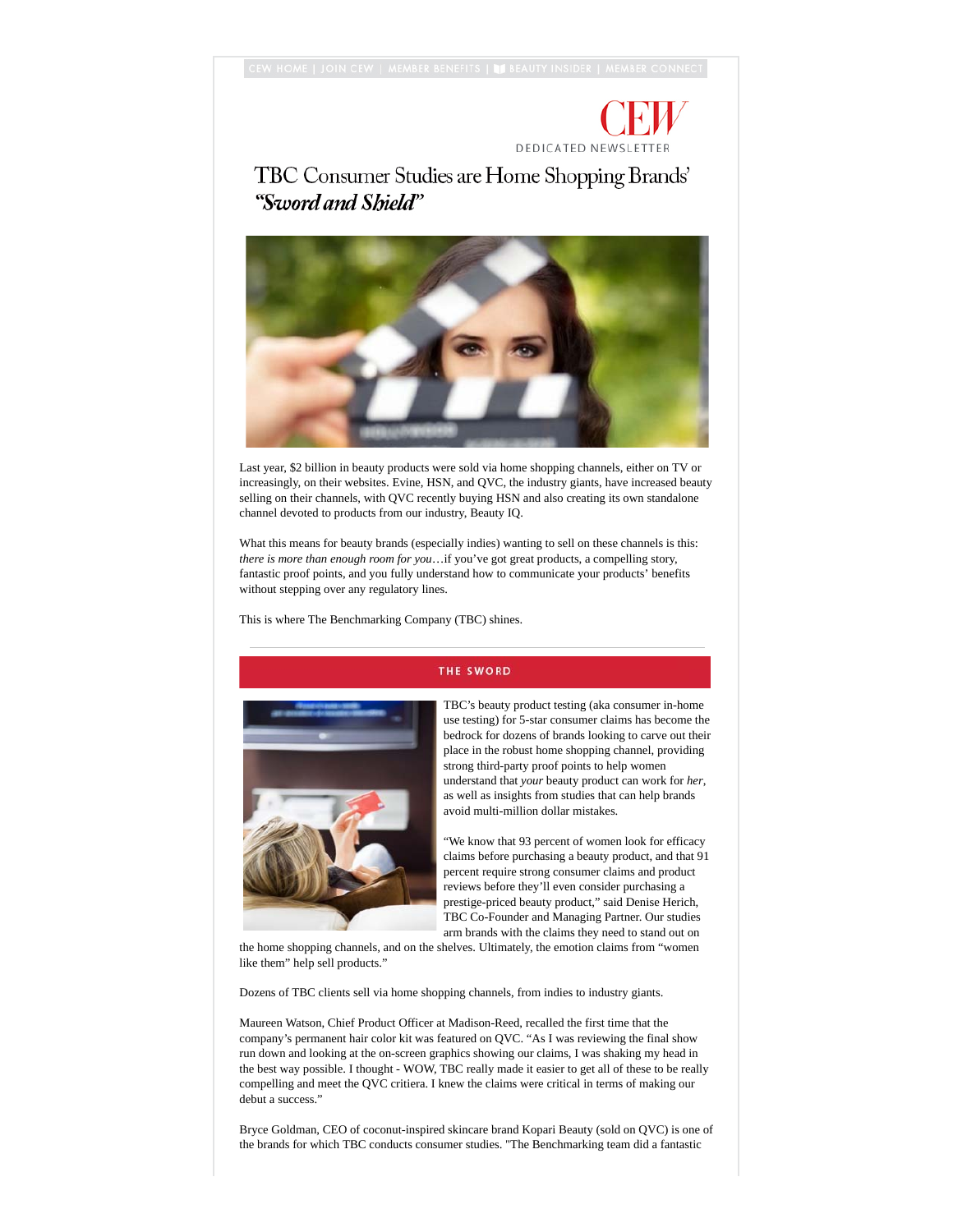## **DEDICATED NEWSLETTER**

TBC Consumer Studies are Home Shopping Brands' "Sword and Shield"



Last year, \$2 billion in beauty products were sold via home shopping channels, either on TV or increasingly, on their websites. Evine, HSN, and QVC, the industry giants, have increased beauty selling on their channels, with QVC recently buying HSN and also creating its own standalone channel devoted to products from our industry, Beauty IQ.

What this means for beauty brands (especially indies) wanting to sell on these channels is this: *there is more than enough room for you*…if you've got great products, a compelling story, fantastic proof points, and you fully understand how to communicate your products' benefits without stepping over any regulatory lines.

This is where The Benchmarking Company (TBC) shines.



## **THE SWORD**

TBC's beauty product testing (aka consumer in-home use testing) for 5-star consumer claims has become the bedrock for dozens of brands looking to carve out their place in the robust home shopping channel, providing strong third-party proof points to help women understand that *your* beauty product can work for *her*, as well as insights from studies that can help brands avoid multi-million dollar mistakes.

"We know that 93 percent of women look for efficacy claims before purchasing a beauty product, and that 91 percent require strong consumer claims and product reviews before they'll even consider purchasing a prestige-priced beauty product," said Denise Herich, TBC Co-Founder and Managing Partner. Our studies arm brands with the claims they need to stand out on

the home shopping channels, and on the shelves. Ultimately, the emotion claims from "women like them" help sell products."

Dozens of TBC clients sell via home shopping channels, from indies to industry giants.

Maureen Watson, Chief Product Officer at Madison-Reed, recalled the first time that the company's permanent hair color kit was featured on QVC. "As I was reviewing the final show run down and looking at the on-screen graphics showing our claims, I was shaking my head in the best way possible. I thought - WOW, TBC really made it easier to get all of these to be really compelling and meet the QVC critiera. I knew the claims were critical in terms of making our debut a success."

Bryce Goldman, CEO of coconut-inspired skincare brand Kopari Beauty (sold on QVC) is one of the brands for which TBC conducts consumer studies. "The Benchmarking team did a fantastic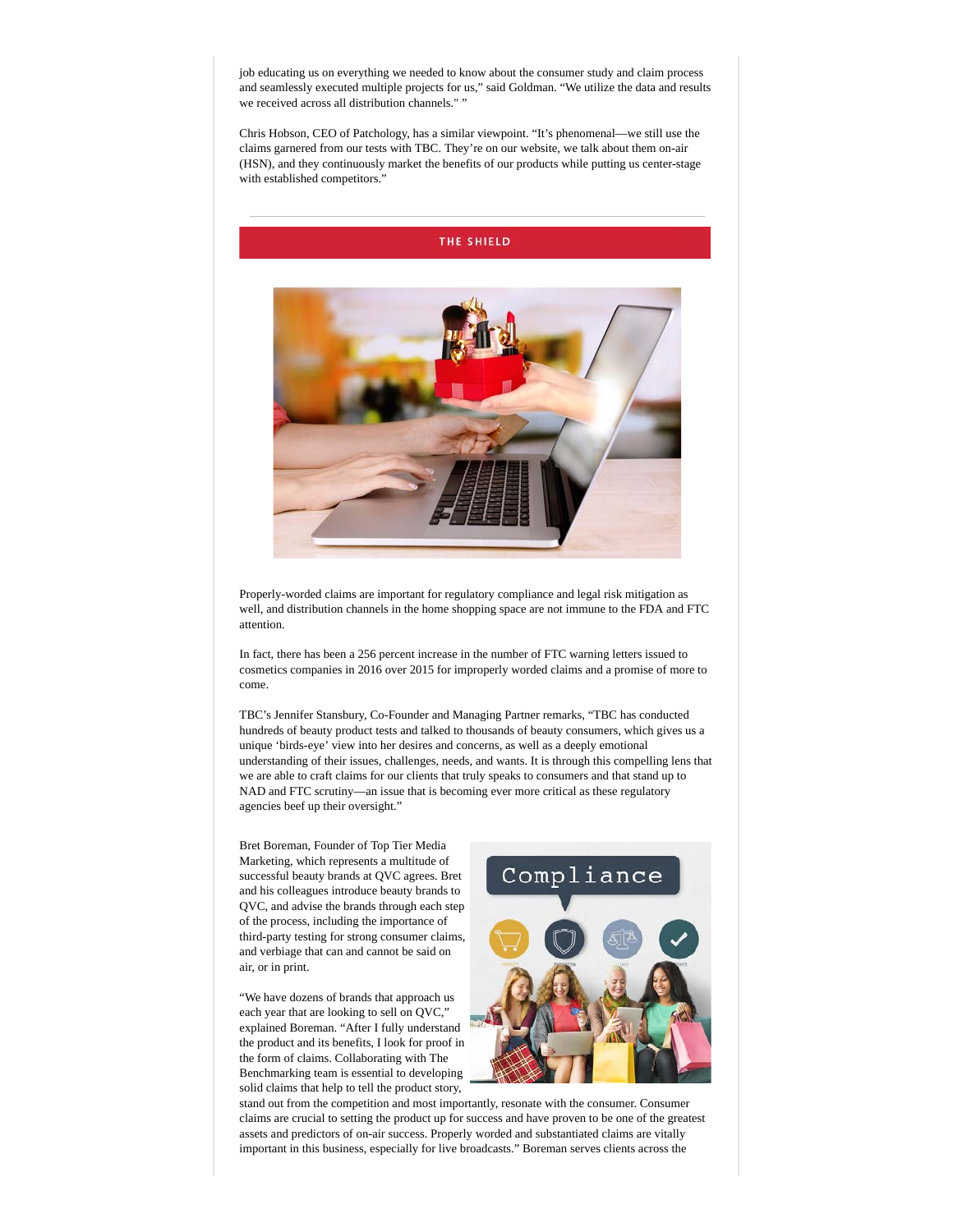job educating us on everything we needed to know about the consumer study and claim process and seamlessly executed multiple projects for us," said Goldman. "We utilize the data and results we received across all distribution channels." "

Chris Hobson, CEO of Patchology, has a similar viewpoint. "It's phenomenal—we still use the claims garnered from our tests with TBC. They're on our website, we talk about them on-air (HSN), and they continuously market the benefits of our products while putting us center-stage with established competitors."





Properly-worded claims are important for regulatory compliance and legal risk mitigation as well, and distribution channels in the home shopping space are not immune to the FDA and FTC attention.

In fact, there has been a 256 percent increase in the number of FTC warning letters issued to cosmetics companies in 2016 over 2015 for improperly worded claims and a promise of more to come.

TBC's Jennifer Stansbury, Co-Founder and Managing Partner remarks, "TBC has conducted hundreds of beauty product tests and talked to thousands of beauty consumers, which gives us a unique 'birds-eye' view into her desires and concerns, as well as a deeply emotional understanding of their issues, challenges, needs, and wants. It is through this compelling lens that we are able to craft claims for our clients that truly speaks to consumers and that stand up to NAD and FTC scrutiny—an issue that is becoming ever more critical as these regulatory agencies beef up their oversight."

Bret Boreman, Founder of Top Tier Media Marketing, which represents a multitude of successful beauty brands at QVC agrees. Bret and his colleagues introduce beauty brands to QVC, and advise the brands through each step of the process, including the importance of third-party testing for strong consumer claims, and verbiage that can and cannot be said on air, or in print.

"We have dozens of brands that approach us each year that are looking to sell on QVC," explained Boreman. "After I fully understand the product and its benefits, I look for proof in the form of claims. Collaborating with The Benchmarking team is essential to developing solid claims that help to tell the product story,



stand out from the competition and most importantly, resonate with the consumer. Consumer claims are crucial to setting the product up for success and have proven to be one of the greatest assets and predictors of on-air success. Properly worded and substantiated claims are vitally important in this business, especially for live broadcasts." Boreman serves clients across the